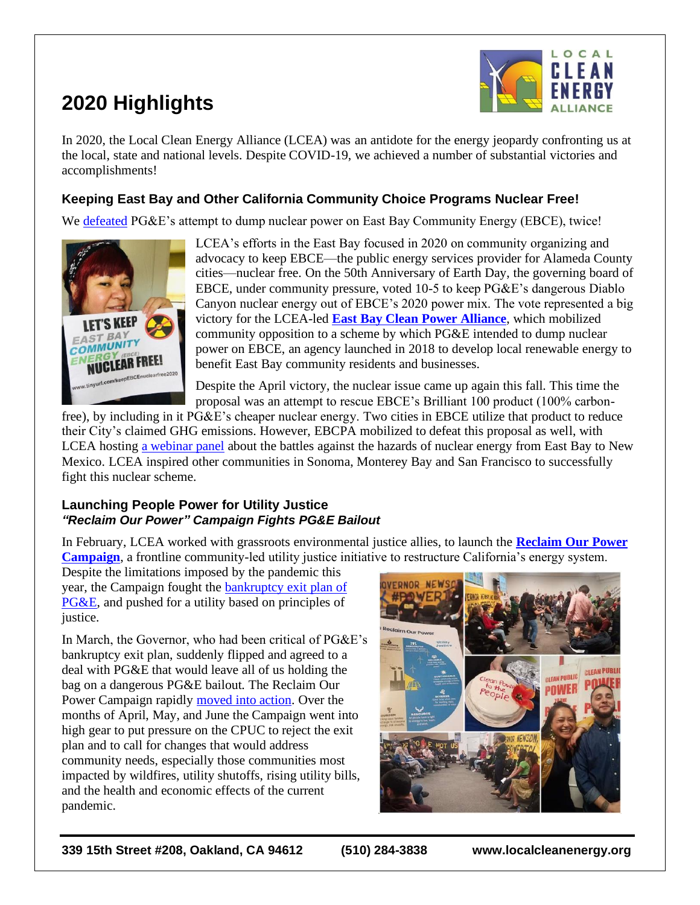# **2020 Highlights**



In 2020, the Local Clean Energy Alliance (LCEA) was an antidote for the energy jeopardy confronting us at the local, state and national levels. Despite COVID-19, we achieved a number of substantial victories and accomplishments!

## **Keeping East Bay and Other California Community Choice Programs Nuclear Free!**

We [defeated](http://www.localcleanenergy.org/files/LCEA%20Nuke%20Case%20Study_5-20-20.pdf) PG&E's attempt to dump nuclear power on East Bay Community Energy (EBCE), twice!



LCEA's efforts in the East Bay focused in 2020 on community organizing and advocacy to keep EBCE—the public energy services provider for Alameda County cities—nuclear free. On the 50th Anniversary of Earth Day, the governing board of EBCE, under community pressure, voted 10-5 to keep PG&E's dangerous Diablo Canyon nuclear energy out of EBCE's 2020 power mix. The vote represented a big victory for the LCEA-led **[East Bay Clean Power Alliance](https://sites.google.com/view/eastbaycleanpower/home)**, which mobilized community opposition to a scheme by which PG&E intended to dump nuclear power on EBCE, an agency launched in 2018 to develop local renewable energy to benefit East Bay community residents and businesses.

Despite the April victory, the nuclear issue came up again this fall. This time the proposal was an attempt to rescue EBCE's Brilliant 100 product (100% carbon-

free), by including in it PG&E's cheaper nuclear energy. Two cities in EBCE utilize that product to reduce their City's claimed GHG emissions. However, EBCPA mobilized to defeat this proposal as well, with LCEA hosting [a webinar panel](https://www.youtube.com/watch?v=Z4VMX-XYoxw&t=1s) about the battles against the hazards of nuclear energy from East Bay to New Mexico. LCEA inspired other communities in Sonoma, Monterey Bay and San Francisco to successfully fight this nuclear scheme.

#### **Launching People Power for Utility Justice** *"Reclaim Our Power" Campaign Fights PG&E Bailout*

In February, LCEA worked with grassroots environmental justice allies, to launch the **[Reclaim Our Power](http://reclaimourpowerca.org/)  [Campaign](http://reclaimourpowerca.org/)**, a frontline community-led utility justice initiative to restructure California's energy system.

Despite the limitations imposed by the pandemic this year, the Campaign fought the [bankruptcy exit plan of](http://localcleanenergy.org/files/Impact%20of%20PG%26E%27s%20Bankruptcy%20Exit%20Plan.pdf)  [PG&E,](http://localcleanenergy.org/files/Impact%20of%20PG%26E%27s%20Bankruptcy%20Exit%20Plan.pdf) and pushed for a utility based on principles of justice.

In March, the Governor, who had been critical of PG&E's bankruptcy exit plan, suddenly flipped and agreed to a deal with PG&E that would leave all of us holding the bag on a dangerous PG&E bailout. The Reclaim Our Power Campaign rapidly [moved into action.](http://localcleanenergy.org/files/Campaign%20Action%20Update.pdf) Over the months of April, May, and June the Campaign went into high gear to put pressure on the CPUC to reject the exit plan and to call for changes that would address community needs, especially those communities most impacted by wildfires, utility shutoffs, rising utility bills, and the health and economic effects of the current pandemic.